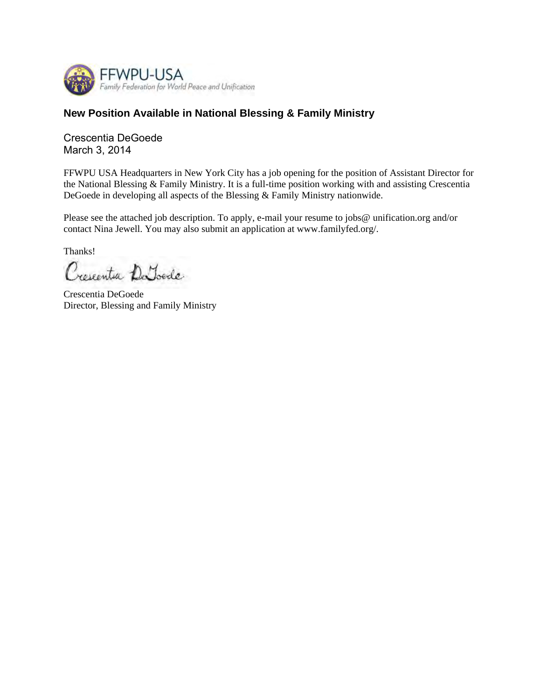

## **New Position Available in National Blessing & Family Ministry**

Crescentia DeGoede March 3, 2014

FFWPU USA Headquarters in New York City has a job opening for the position of Assistant Director for the National Blessing & Family Ministry. It is a full-time position working with and assisting Crescentia DeGoede in developing all aspects of the Blessing & Family Ministry nationwide.

Please see the attached job description. To apply, e-mail your resume to jobs@ unification.org and/or contact Nina Jewell. You may also submit an application at www.familyfed.org/.

Thanks!

Crescentra De Toerle

Crescentia DeGoede Director, Blessing and Family Ministry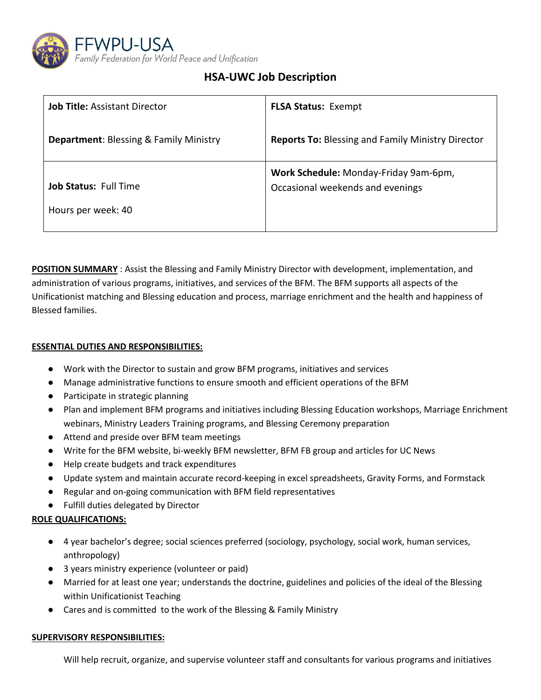

# **HSA-UWC Job Description**

| <b>Job Title: Assistant Director</b>               | <b>FLSA Status: Exempt</b>                                                |
|----------------------------------------------------|---------------------------------------------------------------------------|
| <b>Department: Blessing &amp; Family Ministry</b>  | <b>Reports To: Blessing and Family Ministry Director</b>                  |
| <b>Job Status: Full Time</b><br>Hours per week: 40 | Work Schedule: Monday-Friday 9am-6pm,<br>Occasional weekends and evenings |

**POSITION SUMMARY** : Assist the Blessing and Family Ministry Director with development, implementation, and administration of various programs, initiatives, and services of the BFM. The BFM supports all aspects of the Unificationist matching and Blessing education and process, marriage enrichment and the health and happiness of Blessed families.

#### **ESSENTIAL DUTIES AND RESPONSIBILITIES:**

- Work with the Director to sustain and grow BFM programs, initiatives and services
- Manage administrative functions to ensure smooth and efficient operations of the BFM
- Participate in strategic planning
- Plan and implement BFM programs and initiatives including Blessing Education workshops, Marriage Enrichment webinars, Ministry Leaders Training programs, and Blessing Ceremony preparation
- Attend and preside over BFM team meetings
- Write for the BFM website, bi-weekly BFM newsletter, BFM FB group and articles for UC News
- Help create budgets and track expenditures
- Update system and maintain accurate record-keeping in excel spreadsheets, Gravity Forms, and Formstack
- Regular and on-going communication with BFM field representatives
- Fulfill duties delegated by Director

#### **ROLE QUALIFICATIONS:**

- 4 year bachelor's degree; social sciences preferred (sociology, psychology, social work, human services, anthropology)
- 3 years ministry experience (volunteer or paid)
- Married for at least one year; understands the doctrine, guidelines and policies of the ideal of the Blessing within Unificationist Teaching
- Cares and is committed to the work of the Blessing & Family Ministry

#### **SUPERVISORY RESPONSIBILITIES:**

Will help recruit, organize, and supervise volunteer staff and consultants for various programs and initiatives